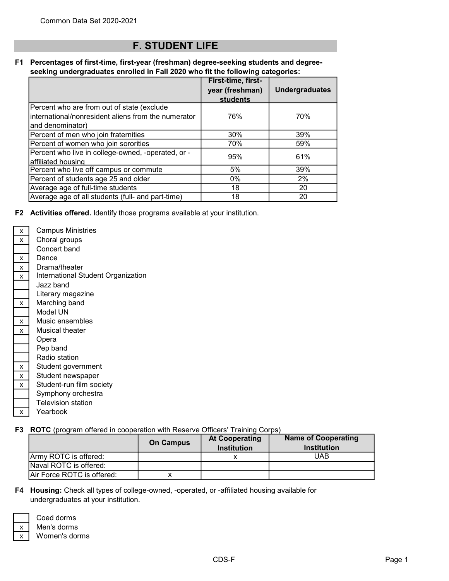## F. STUDENT LIFE

## F1 Percentages of first-time, first-year (freshman) degree-seeking students and degreeseeking undergraduates enrolled in Fall 2020 who fit the following categories:

|                                                                                                                       | First-time, first-<br>year (freshman)<br>students | <b>Undergraduates</b> |
|-----------------------------------------------------------------------------------------------------------------------|---------------------------------------------------|-----------------------|
| Percent who are from out of state (exclude<br>international/nonresident aliens from the numerator<br>and denominator) | 76%                                               | 70%                   |
| Percent of men who join fraternities                                                                                  | 30%                                               | 39%                   |
| Percent of women who join sororities                                                                                  | 70%                                               | 59%                   |
| Percent who live in college-owned, -operated, or -<br>affiliated housing                                              | 95%                                               | 61%                   |
| Percent who live off campus or commute                                                                                | 5%                                                | 39%                   |
| Percent of students age 25 and older                                                                                  | $0\%$                                             | 2%                    |
| Average age of full-time students                                                                                     | 18                                                | 20                    |
| Average age of all students (full- and part-time)                                                                     | 18                                                | 20                    |

F2 Activities offered. Identify those programs available at your institution.

| x | Campus Ministries                  |
|---|------------------------------------|
| X | Choral groups                      |
|   | Concert band                       |
| x | Dance                              |
| X | Drama/theater                      |
| x | International Student Organization |
|   | Jazz band                          |
|   | Literary magazine                  |
| x | Marching band                      |
|   | Model UN                           |
| x | Music ensembles                    |
| x | Musical theater                    |
|   | Opera                              |
|   | Pep band                           |
|   | Radio station                      |
| X | Student government                 |
| x | Student newspaper                  |
| x | Student-run film society           |
|   | Symphony orchestra                 |
|   | <b>Television station</b>          |
|   |                                    |

 $\boxed{x}$  Yearbook

## F3 ROTC (program offered in cooperation with Reserve Officers' Training Corps)

|                            | <b>On Campus</b> | <b>At Cooperating</b><br><b>Institution</b> | <b>Name of Cooperating</b><br><b>Institution</b> |
|----------------------------|------------------|---------------------------------------------|--------------------------------------------------|
| Army ROTC is offered:      |                  |                                             | UAB                                              |
| Naval ROTC is offered:     |                  |                                             |                                                  |
| Air Force ROTC is offered: |                  |                                             |                                                  |

F4 Housing: Check all types of college-owned, -operated, or -affiliated housing available for undergraduates at your institution.

Men's dorms Women's dorms

Coed dorms